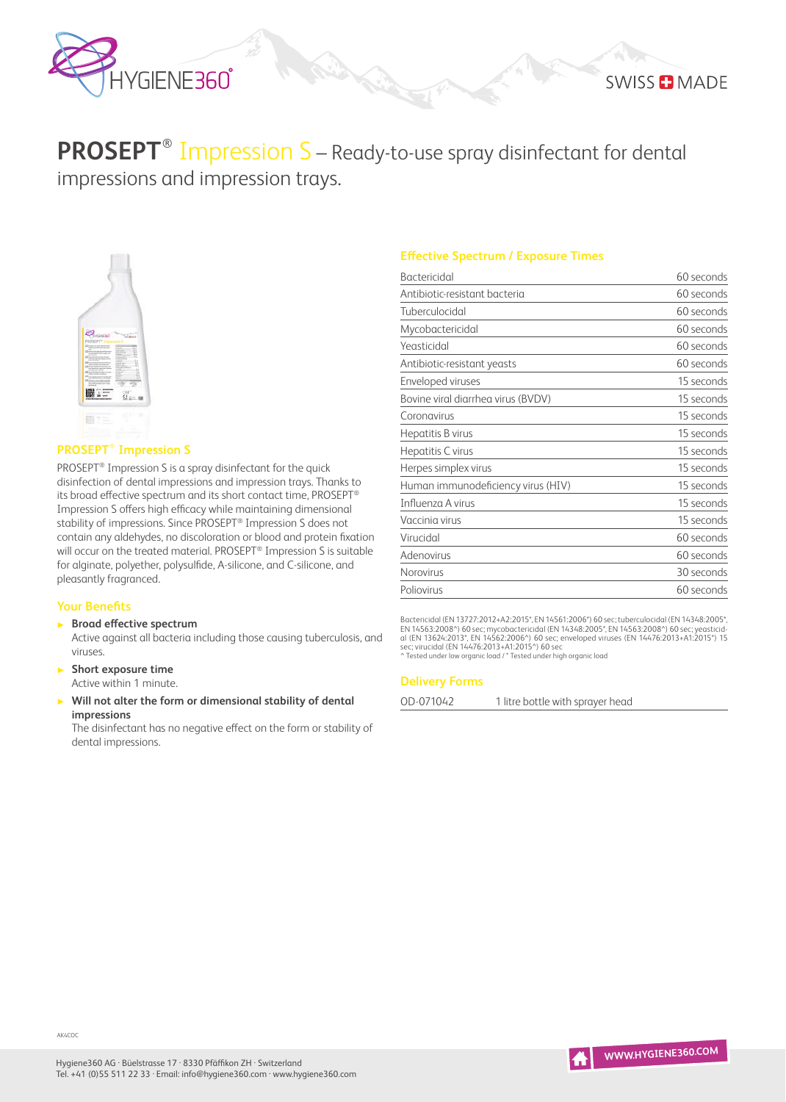

# **PROSEPT**® Impression S – Ready-to-use spray disinfectant for dental impressions and impression trays.



# **PROSEPT**® **Impression S**

PROSEPT® Impression S is a spray disinfectant for the quick disinfection of dental impressions and impression trays. Thanks to its broad effective spectrum and its short contact time, PROSEPT® Impression S offers high efficacy while maintaining dimensional stability of impressions. Since PROSEPT® Impression S does not contain any aldehydes, no discoloration or blood and protein fixation will occur on the treated material. PROSEPT<sup>®</sup> Impression S is suitable for alginate, polyether, polysulfide, A-silicone, and C-silicone, and pleasantly fragranced.

## **Your Benefits**

▶ **Broad effective spectrum**

Active against all bacteria including those causing tuberculosis, and viruses.

- ▶ **Short exposure time** Active within 1 minute.
- ▶ **Will not alter the form or dimensional stability of dental impressions**

The disinfectant has no negative effect on the form or stability of dental impressions.

## **Effective Spectrum / Exposure Times**

| <b>Bactericidal</b>                | 60 seconds |
|------------------------------------|------------|
| Antibiotic-resistant bacteria      | 60 seconds |
| Tuberculocidal                     | 60 seconds |
| Mycobactericidal                   | 60 seconds |
| Yeasticidal                        | 60 seconds |
| Antibiotic-resistant yeasts        | 60 seconds |
| Enveloped viruses                  | 15 seconds |
| Bovine viral diarrhea virus (BVDV) | 15 seconds |
| Coronavirus                        | 15 seconds |
| Hepatitis B virus                  | 15 seconds |
| Hepatitis C virus                  | 15 seconds |
| Herpes simplex virus               | 15 seconds |
| Human immunodeficiency virus (HIV) | 15 seconds |
| Influenza A virus                  | 15 seconds |
| Vaccinia virus                     | 15 seconds |
| Virucidal                          | 60 seconds |
| Adenovirus                         | 60 seconds |
| <b>Norovirus</b>                   | 30 seconds |
| Poliovirus                         | 60 seconds |

Bactericidal (EN 13727:2012+A2:2015\*, EN 14561:2006\*) 60 sec; tuberculocidal (EN 14348:2005\*,<br>EN 14563:2008^) 60 sec; mycobactericidal (EN 14348:2005\*, EN 14563:2008^) 60 sec; yeasticid-<br>al (EN 13624:2013\*, EN 14562:2006^)

^ Tested under low organic load / \* Tested under high organic load

#### **Delivery Forms**

OD-071042 1 litre bottle with sprayer head